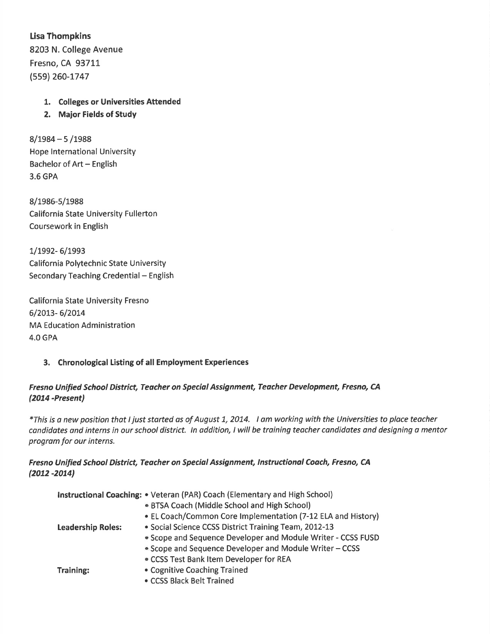Lisa Thompkins 8203 N. College Avenue Fresno, CA 937LL (559) 260-1747

#### 1. Colleges or Universities Attended

2, Major Fields of Study

 $8/1984 - 5/1988$ Hope International University Bachelor of Art - English 3.6 GPA

8/1986-5/1988 California State University Fullerton Coursework in English

1/1992- 6/1993 California Polytechnic State University Secondary Teaching Credential - English

California State University Fresno 6/2Ot3- 6/2Ot4 **MA Education Administration** 4.0 GPA

#### 3. Chronological Listing of all Employment Experiences

## Fresno Unified School District, Teacher on Special Assignment, Teacher Development, Fresno, CA (2074 -Present)

\*This is o new position that ljust storted as of August 7, 2074. I om working with the Universities to place teacher candidates ond interns in our school district. ln addition, I will be training teacher condidates and designing a mentor program for our interns.

## Fresno Unified School District, Teacher on Special Assignment, Instructional Coach, Fresno, CA (2012 -2014)

| Instructional Coaching: • Veteran (PAR) Coach (Elementary and High School) |                                                              |  |
|----------------------------------------------------------------------------|--------------------------------------------------------------|--|
|                                                                            | • BTSA Coach (Middle School and High School)                 |  |
|                                                                            | • EL Coach/Common Core Implementation (7-12 ELA and History) |  |
| <b>Leadership Roles:</b>                                                   | • Social Science CCSS District Training Team, 2012-13        |  |
|                                                                            | • Scope and Sequence Developer and Module Writer - CCSS FUSD |  |
|                                                                            | Scope and Sequence Developer and Module Writer - CCSS        |  |
|                                                                            | • CCSS Test Bank Item Developer for REA                      |  |
| <b>Training:</b>                                                           | • Cognitive Coaching Trained                                 |  |
|                                                                            | • CCSS Black Belt Trained                                    |  |